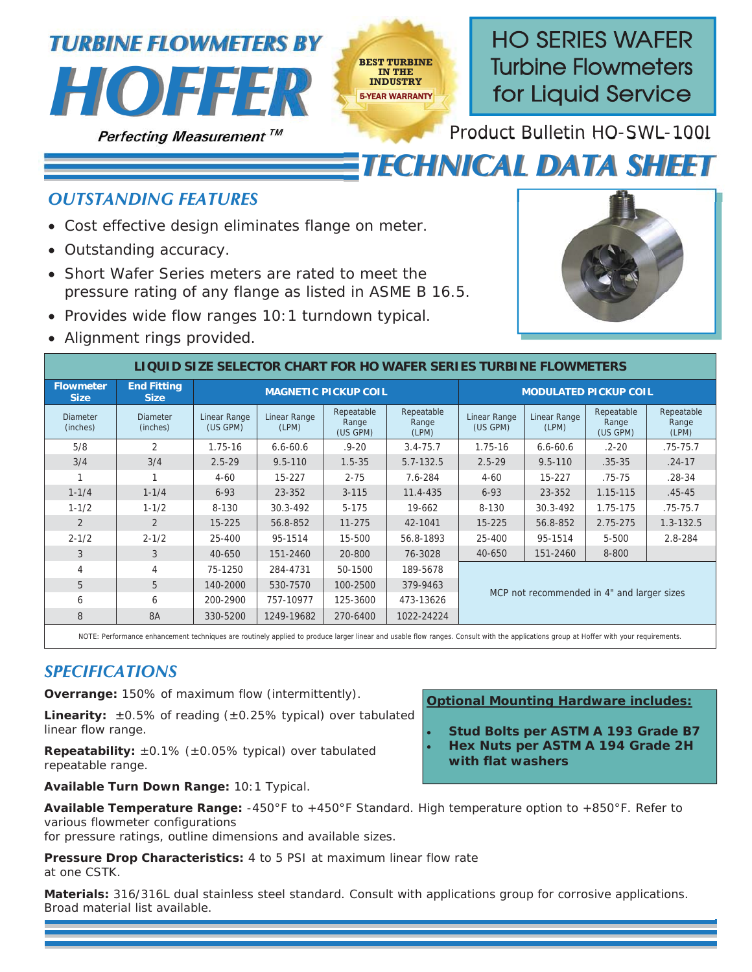



**HO SERIES WAFER**  Turbine Flowmeters **for Liquid Service** 

Product Bulletin HO-SWL-100J

## *TECHNICAL DATA SHEET*

## *OUTSTANDING FEATURES*

- Cost effective design eliminates flange on meter.
- Outstanding accuracy.
- Short Wafer Series meters are rated to meet the pressure rating of any flange as listed in ASME B 16.5.
- Provides wide flow ranges 10:1 turndown typical.
- Alignment rings provided.



| LIQUID SIZE SELECTOR CHART FOR HO WAFER SERIES TURBINE FLOWMETERS |                                   |                          |                       |                                                                 |               |                                            |                       |                                 |                              |  |  |  |
|-------------------------------------------------------------------|-----------------------------------|--------------------------|-----------------------|-----------------------------------------------------------------|---------------|--------------------------------------------|-----------------------|---------------------------------|------------------------------|--|--|--|
| <b>Flowmeter</b><br><b>Size</b>                                   | <b>End Fitting</b><br><b>Size</b> |                          |                       | <b>MAGNETIC PICKUP COIL</b>                                     |               | <b>MODULATED PICKUP COIL</b>               |                       |                                 |                              |  |  |  |
| <b>Diameter</b><br>(inches)                                       | <b>Diameter</b><br>(inches)       | Linear Range<br>(US GPM) | Linear Range<br>(LPM) | Repeatable<br>Repeatable<br>Range<br>Range<br>(US GPM)<br>(LPM) |               | <b>Linear Range</b><br>(US GPM)            | Linear Range<br>(LPM) | Repeatable<br>Range<br>(US GPM) | Repeatable<br>Range<br>(LPM) |  |  |  |
| 5/8                                                               | 2                                 | $1.75 - 16$              | $6.6 - 60.6$          | $.9 - 20$                                                       | $3.4 - 75.7$  | $1.75 - 16$                                | $6.6 - 60.6$          | $.2 - 20$                       | $.75 - 75.7$                 |  |  |  |
| 3/4                                                               | 3/4                               | $2.5 - 29$               | $9.5 - 110$           | $1.5 - 35$                                                      | $5.7 - 132.5$ | $2.5 - 29$                                 | $9.5 - 110$           | $.35 - 35$                      | $.24 - 17$                   |  |  |  |
|                                                                   | -4                                | $4 - 60$                 | 15-227                | $2 - 75$                                                        | 7.6-284       | $4 - 60$                                   | $15 - 227$            | $.75 - 75$                      | $.28 - 34$                   |  |  |  |
| $1 - 1/4$                                                         | $1 - 1/4$                         | $6 - 93$                 | 23-352                | $3 - 115$                                                       | 11.4-435      | $6 - 93$                                   | 23-352                | 1.15-115                        | $.45 - 45$                   |  |  |  |
| $1 - 1/2$                                                         | $1 - 1/2$                         | 8-130                    | $30.3 - 492$          | $5 - 175$                                                       | 19-662        | 8-130                                      | 30.3-492              | 1.75-175                        | $.75 - 75.7$                 |  |  |  |
| 2                                                                 | $\overline{2}$                    | $15 - 225$               | 56.8-852              | $11 - 275$                                                      | 42-1041       | $15 - 225$                                 | 56.8-852              | $2.75 - 275$                    | $1.3 - 132.5$                |  |  |  |
| $2 - 1/2$                                                         | $2 - 1/2$                         | 25-400                   | 95-1514               | 15-500                                                          | 56.8-1893     | 25-400                                     | 95-1514               | $5 - 500$                       | 2.8-284                      |  |  |  |
| 3                                                                 | 3                                 | 40-650                   | 151-2460              | 20-800                                                          | 76-3028       | 40-650                                     | 151-2460              | 8-800                           |                              |  |  |  |
| 4                                                                 | 4                                 | 75-1250                  | 284-4731              | 50-1500                                                         | 189-5678      | MCP not recommended in 4" and larger sizes |                       |                                 |                              |  |  |  |
| 5                                                                 | 5                                 | 140-2000                 | 530-7570              | 100-2500                                                        | 379-9463      |                                            |                       |                                 |                              |  |  |  |
| 6                                                                 | 6                                 | 200-2900                 | 757-10977             | 125-3600                                                        | 473-13626     |                                            |                       |                                 |                              |  |  |  |
| 8                                                                 | <b>8A</b>                         | 330-5200                 | 1249-19682            | 270-6400                                                        | 1022-24224    |                                            |                       |                                 |                              |  |  |  |

**BEST TURBINE IN THE INDUSTRY** 5-YEAR WARRANTY

NOTE: Performance enhancement techniques are routinely applied to produce larger linear and usable flow ranges. Consult with the applications group at Hoffer with your requirements.

## *SPECIFICATIONS*

**Overrange:** 150% of maximum flow (intermittently).

**Linearity:** ±0.5% of reading (±0.25% typical) over tabulated linear flow range.

**Repeatability:**  $\pm 0.1\%$  ( $\pm 0.05\%$  typical) over tabulated repeatable range.

**Available Turn Down Range:** 10:1 Typical.

**Optional Mounting Hardware includes:** 

x **Stud Bolts per ASTM A 193 Grade B7**  x **Hex Nuts per ASTM A 194 Grade 2H with flat washers**

**Available Temperature Range:** -450°F to +450°F Standard. High temperature option to +850°F. Refer to various flowmeter configurations

for pressure ratings, outline dimensions and available sizes.

**Pressure Drop Characteristics:** 4 to 5 PSI at maximum linear flow rate at one CSTK.

**Materials:** 316/316L dual stainless steel standard. Consult with applications group for corrosive applications. Broad material list available.